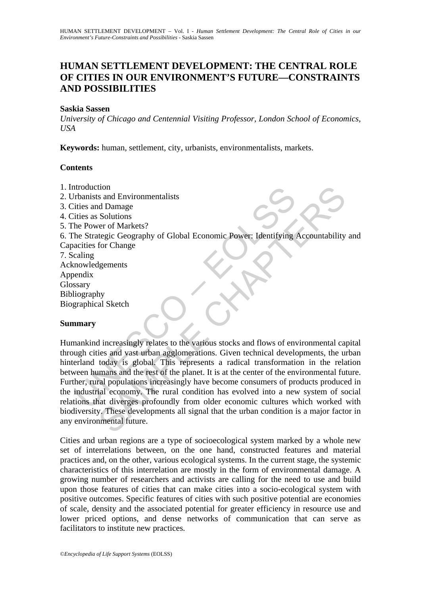# **HUMAN SETTLEMENT DEVELOPMENT: THE CENTRAL ROLE OF CITIES IN OUR ENVIRONMENT'S FUTURE—CONSTRAINTS AND POSSIBILITIES**

## **Saskia Sassen**

*University of Chicago and Centennial Visiting Professor, London School of Economics, USA* 

**Keywords:** human, settlement, city, urbanists, environmentalists, markets.

# **Contents**

- 1. Introduction
- 2. Urbanists and Environmentalists
- 3. Cities and Damage
- 4. Cities as Solutions
- 5. The Power of Markets?

6. The Strategic Geography of Global Economic Power: Identifying Accountability and

Capacities for Change 7. Scaling Acknowledgements Appendix Glossary Bibliography Biographical Sketch

### **Summary**

Monitst and Environmentalists<br>
The sand Environmentalists<br>
The sand Damage<br>
Thies and Damage<br>
Thies as Solutions<br>
the Strategic Geography of Global Economic Power: Identifying<br>
accities for Change<br>
mowledgements<br>
seary<br>
ma The stand Environmentalists<br>
and Environmentalists<br>
and Damage<br>
Solutions<br>
Solutions<br>
for Change<br>
for Change<br>
for Change<br>
for Change<br>
for Change<br>
of Global Economic Power: Identifying Accountability<br>
the discussion of the Humankind increasingly relates to the various stocks and flows of environmental capital through cities and vast urban agglomerations. Given technical developments, the urban hinterland today is global. This represents a radical transformation in the relation between humans and the rest of the planet. It is at the center of the environmental future. Further, rural populations increasingly have become consumers of products produced in the industrial economy. The rural condition has evolved into a new system of social relations that diverges profoundly from older economic cultures which worked with biodiversity. These developments all signal that the urban condition is a major factor in any environmental future.

Cities and urban regions are a type of socioecological system marked by a whole new set of interrelations between, on the one hand, constructed features and material practices and, on the other, various ecological systems. In the current stage, the systemic characteristics of this interrelation are mostly in the form of environmental damage. A growing number of researchers and activists are calling for the need to use and build upon those features of cities that can make cities into a socio-ecological system with positive outcomes. Specific features of cities with such positive potential are economies of scale, density and the associated potential for greater efficiency in resource use and lower priced options, and dense networks of communication that can serve as facilitators to institute new practices.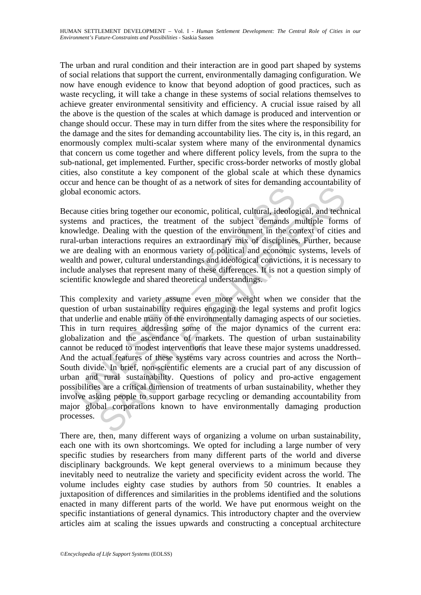The urban and rural condition and their interaction are in good part shaped by systems of social relations that support the current, environmentally damaging configuration. We now have enough evidence to know that beyond adoption of good practices, such as waste recycling, it will take a change in these systems of social relations themselves to achieve greater environmental sensitivity and efficiency. A crucial issue raised by all the above is the question of the scales at which damage is produced and intervention or change should occur. These may in turn differ from the sites where the responsibility for the damage and the sites for demanding accountability lies. The city is, in this regard, an enormously complex multi-scalar system where many of the environmental dynamics that concern us come together and where different policy levels, from the supra to the sub-national, get implemented. Further, specific cross-border networks of mostly global cities, also constitute a key component of the global scale at which these dynamics occur and hence can be thought of as a network of sites for demanding accountability of global economic actors.

Because cities bring together our economic, political, cultural, ideological, and technical systems and practices, the treatment of the subject demands multiple forms of knowledge. Dealing with the question of the environment in the context of cities and rural-urban interactions requires an extraordinary mix of disciplines. Further, because we are dealing with an enormous variety of political and economic systems, levels of wealth and power, cultural understandings and ideological convictions, it is necessary to include analyses that represent many of these differences. It is not a question simply of scientific knowlegde and shared theoretical understandings.

al economic actors.<br>
ause cities bring together our economic, political, cultural, ideologemens and practices, the treatment of the subject demands tweledge. Dealing with the question of the environment in the collumative From the base of methanology and product and the subject of the subject of the subject of the subject demands multiple form. Dealing with the question of the subject demands multiple forms. Dealing with the question of the This complexity and variety assume even more weight when we consider that the question of urban sustainability requires engaging the legal systems and profit logics that underlie and enable many of the environmentally damaging aspects of our societies. This in turn requires addressing some of the major dynamics of the current era: globalization and the ascendance of markets. The question of urban sustainability cannot be reduced to modest interventions that leave these major systems unaddressed. And the actual features of these systems vary across countries and across the North– South divide. In brief, non-scientific elements are a crucial part of any discussion of urban and rural sustainability. Questions of policy and pro-active engagement possibilities are a critical dimension of treatments of urban sustainability, whether they involve asking people to support garbage recycling or demanding accountability from major global corporations known to have environmentally damaging production processes.

There are, then, many different ways of organizing a volume on urban sustainability, each one with its own shortcomings. We opted for including a large number of very specific studies by researchers from many different parts of the world and diverse disciplinary backgrounds. We kept general overviews to a minimum because they inevitably need to neutralize the variety and specificity evident across the world. The volume includes eighty case studies by authors from 50 countries. It enables a juxtaposition of differences and similarities in the problems identified and the solutions enacted in many different parts of the world. We have put enormous weight on the specific instantiations of general dynamics. This introductory chapter and the overview articles aim at scaling the issues upwards and constructing a conceptual architecture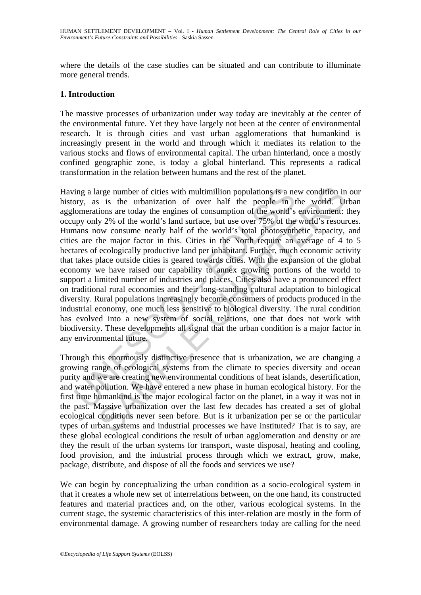where the details of the case studies can be situated and can contribute to illuminate more general trends.

# **1. Introduction**

The massive processes of urbanization under way today are inevitably at the center of the environmental future. Yet they have largely not been at the center of environmental research. It is through cities and vast urban agglomerations that humankind is increasingly present in the world and through which it mediates its relation to the various stocks and flows of environmental capital. The urban hinterland, once a mostly confined geographic zone, is today a global hinterland. This represents a radical transformation in the relation between humans and the rest of the planet.

ing a large number of cities with multimillion populations is a nerory, as is the urbanization of over half the people in tomerations are today the engines of consumption of the world's pay only 2% of the world's land surf arge number of cities with multimillion populations is a new condition in<br>is is the urbanization of over half the people in the world. U<br>joins are today the engines of consumption of the world's environment:<br>joins are toda Having a large number of cities with multimillion populations is a new condition in our history, as is the urbanization of over half the people in the world. Urban agglomerations are today the engines of consumption of the world's environment: they occupy only 2% of the world's land surface, but use over 75% of the world's resources. Humans now consume nearly half of the world's total photosynthetic capacity, and cities are the major factor in this. Cities in the North require an average of 4 to 5 hectares of ecologically productive land per inhabitant. Further, much economic activity that takes place outside cities is geared towards cities. With the expansion of the global economy we have raised our capability to annex growing portions of the world to support a limited number of industries and places. Cities also have a pronounced effect on traditional rural economies and their long-standing cultural adaptation to biological diversity. Rural populations increasingly become consumers of products produced in the industrial economy, one much less sensitive to biological diversity. The rural condition has evolved into a new system of social relations, one that does not work with biodiversity. These developments all signal that the urban condition is a major factor in any environmental future.

Through this enormously distinctive presence that is urbanization, we are changing a growing range of ecological systems from the climate to species diversity and ocean purity and we are creating new environmental conditions of heat islands, desertification, and water pollution. We have entered a new phase in human ecological history. For the first time humankind is the major ecological factor on the planet, in a way it was not in the past. Massive urbanization over the last few decades has created a set of global ecological conditions never seen before. But is it urbanization per se or the particular types of urban systems and industrial processes we have instituted? That is to say, are these global ecological conditions the result of urban agglomeration and density or are they the result of the urban systems for transport, waste disposal, heating and cooling, food provision, and the industrial process through which we extract, grow, make, package, distribute, and dispose of all the foods and services we use?

We can begin by conceptualizing the urban condition as a socio-ecological system in that it creates a whole new set of interrelations between, on the one hand, its constructed features and material practices and, on the other, various ecological systems. In the current stage, the systemic characteristics of this inter-relation are mostly in the form of environmental damage. A growing number of researchers today are calling for the need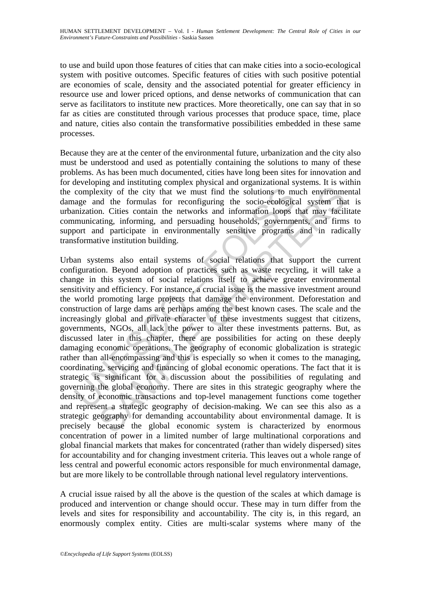to use and build upon those features of cities that can make cities into a socio-ecological system with positive outcomes. Specific features of cities with such positive potential are economies of scale, density and the associated potential for greater efficiency in resource use and lower priced options, and dense networks of communication that can serve as facilitators to institute new practices. More theoretically, one can say that in so far as cities are constituted through various processes that produce space, time, place and nature, cities also contain the transformative possibilities embedded in these same processes.

Because they are at the center of the environmental future, urbanization and the city also must be understood and used as potentially containing the solutions to many of these problems. As has been much documented, cities have long been sites for innovation and for developing and instituting complex physical and organizational systems. It is within the complexity of the city that we must find the solutions to much environmental damage and the formulas for reconfiguring the socio-ecological system that is urbanization. Cities contain the networks and information loops that may facilitate communicating, informing, and persuading households, governments, and firms to support and participate in environmentally sensitive programs and in radically transformative institution building.

complexity of the city that we must find the solutions to mage and the formulas for reconfiguring the socio-ecologic:<br>mization. Cities contain the networks and information loops tunuincating, informing, and persuading hous xxity of the city that we must find the solutions to much environmend the formulas for reconfiguring the socio-ceological system than. Cities contain the networks and information loops that may facility, informing, and per Urban systems also entail systems of social relations that support the current configuration. Beyond adoption of practices such as waste recycling, it will take a change in this system of social relations itself to achieve greater environmental sensitivity and efficiency. For instance, a crucial issue is the massive investment around the world promoting large projects that damage the environment. Deforestation and construction of large dams are perhaps among the best known cases. The scale and the increasingly global and private character of these investments suggest that citizens, governments, NGOs, all lack the power to alter these investments patterns. But, as discussed later in this chapter, there are possibilities for acting on these deeply damaging economic operations. The geography of economic globalization is strategic rather than all-encompassing and this is especially so when it comes to the managing, coordinating, servicing and financing of global economic operations. The fact that it is strategic is significant for a discussion about the possibilities of regulating and governing the global economy. There are sites in this strategic geography where the density of economic transactions and top-level management functions come together and represent a strategic geography of decision-making. We can see this also as a strategic geography for demanding accountability about environmental damage. It is precisely because the global economic system is characterized by enormous concentration of power in a limited number of large multinational corporations and global financial markets that makes for concentrated (rather than widely dispersed) sites for accountability and for changing investment criteria. This leaves out a whole range of less central and powerful economic actors responsible for much environmental damage, but are more likely to be controllable through national level regulatory interventions.

A crucial issue raised by all the above is the question of the scales at which damage is produced and intervention or change should occur. These may in turn differ from the levels and sites for responsibility and accountability. The city is, in this regard, an enormously complex entity. Cities are multi-scalar systems where many of the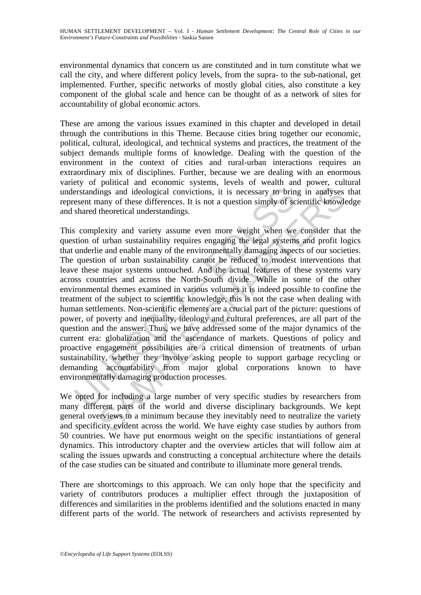environmental dynamics that concern us are constituted and in turn constitute what we call the city, and where different policy levels, from the supra- to the sub-national, get implemented. Further, specific networks of mostly global cities, also constitute a key component of the global scale and hence can be thought of as a network of sites for accountability of global economic actors.

These are among the various issues examined in this chapter and developed in detail through the contributions in this Theme. Because cities bring together our economic, political, cultural, ideological, and technical systems and practices, the treatment of the subject demands multiple forms of knowledge. Dealing with the question of the environment in the context of cities and rural-urban interactions requires an extraordinary mix of disciplines. Further, because we are dealing with an enormous variety of political and economic systems, levels of wealth and power, cultural understandings and ideological convictions, it is necessary to bring in analyses that represent many of these differences. It is not a question simply of scientific knowledge and shared theoretical understandings.

erstandings and ideological convictions, it is necessary to brin<br>esent many of these differences. It is not a question simply of sc<br>shared theoretical understandings.<br>So complexity and variety assume even more weight when ings and ideological convictions, it is necessary to bring in analyses<br>ings and ideological convictions, it is necessary to bring in analyses<br>anary of these differences. It is not a question simply of scientific knowle<br>the This complexity and variety assume even more weight when we consider that the question of urban sustainability requires engaging the legal systems and profit logics that underlie and enable many of the environmentally damaging aspects of our societies. The question of urban sustainability cannot be reduced to modest interventions that leave these major systems untouched. And the actual features of these systems vary across countries and across the North-South divide. While in some of the other environmental themes examined in various volumes it is indeed possible to confine the treatment of the subject to scientific knowledge, this is not the case when dealing with human settlements. Non-scientific elements are a crucial part of the picture: questions of power, of poverty and inequality, ideology and cultural preferences, are all part of the question and the answer. Thus, we have addressed some of the major dynamics of the current era: globalization and the ascendance of markets. Questions of policy and proactive engagement possibilities are a critical dimension of treatments of urban sustainability, whether they involve asking people to support garbage recycling or demanding accountability from major global corporations known to have environmentally damaging production processes.

We opted for including a large number of very specific studies by researchers from many different parts of the world and diverse disciplinary backgrounds. We kept general overviews to a minimum because they inevitably need to neutralize the variety and specificity evident across the world. We have eighty case studies by authors from 50 countries. We have put enormous weight on the specific instantiations of general dynamics. This introductory chapter and the overview articles that will follow aim at scaling the issues upwards and constructing a conceptual architecture where the details of the case studies can be situated and contribute to illuminate more general trends.

There are shortcomings to this approach. We can only hope that the specificity and variety of contributors produces a multiplier effect through the juxtaposition of differences and similarities in the problems identified and the solutions enacted in many different parts of the world. The network of researchers and activists represented by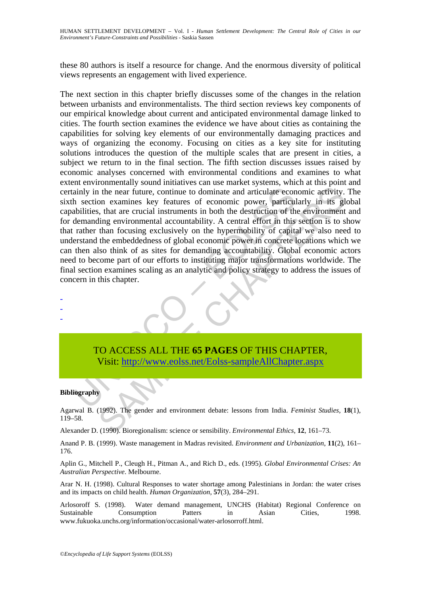these 80 authors is itself a resource for change. And the enormous diversity of political views represents an engagement with lived experience.

example the mean future, continue to dominate and articulate economic posetion examines key features of economic power, particulabilities, that are crucial instruments in both the destruction of the demanding environmental is the near future, continue to dominate and articulate economic activity.<br>
Show the near future, continue to dominate and articulate economic activity.<br>
Show that are crucial instruments in both the destruction of the env The next section in this chapter briefly discusses some of the changes in the relation between urbanists and environmentalists. The third section reviews key components of our empirical knowledge about current and anticipated environmental damage linked to cities. The fourth section examines the evidence we have about cities as containing the capabilities for solving key elements of our environmentally damaging practices and ways of organizing the economy. Focusing on cities as a key site for instituting solutions introduces the question of the multiple scales that are present in cities, a subject we return to in the final section. The fifth section discusses issues raised by economic analyses concerned with environmental conditions and examines to what extent environmentally sound initiatives can use market systems, which at this point and certainly in the near future, continue to dominate and articulate economic activity. The sixth section examines key features of economic power, particularly in its global capabilities, that are crucial instruments in both the destruction of the environment and for demanding environmental accountability. A central effort in this section is to show that rather than focusing exclusively on the hypermobility of capital we also need to understand the embeddedness of global economic power in concrete locations which we can then also think of as sites for demanding accountability. Global economic actors need to become part of our efforts to instituting major transformations worldwide. The final section examines scaling as an analytic and policy strategy to address the issues of concern in this chapter.

- - -

> TO ACCESS ALL THE **65 PAGES** OF THIS CHAPTER, Visit: http://www.eolss.net/Eolss-sampleAllChapter.aspx

#### **Bibliography**

Agarwal B. (1992). The gender and environment debate: lessons from India. *Feminist Studies,* **18**(1), 119–58.

Alexander D. (1990). Bioregionalism: science or sensibility. *Environmental Ethics*, **12**, 161–73.

Anand P. B. (1999). Waste management in Madras revisited. *Environment and Urbanization*, **11**(2), 161– 176.

Aplin G., Mitchell P., Cleugh H., Pitman A., and Rich D., eds. (1995). *Global Environmental Crises: An Australian Perspective*. Melbourne.

Arar N. H. (1998). Cultural Responses to water shortage among Palestinians in Jordan: the water crises and its impacts on child health. *Human Organization*, **57**(3), 284–291.

Arlosoroff S. (1998). Water demand management, UNCHS (Habitat) Regional Conference on Sustainable Consumption Patters in Asian Cities, 1998. www.fukuoka.unchs.org/information/occasional/water-arlosorroff.html.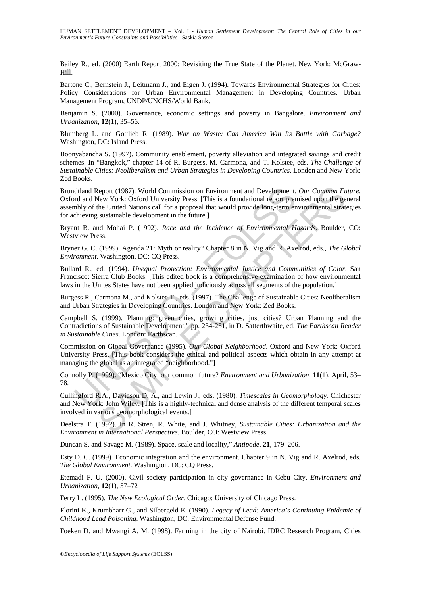Bailey R., ed. (2000) Earth Report 2000: Revisiting the True State of the Planet. New York: McGraw-Hill.

Bartone C., Bernstein J., Leitmann J., and Eigen J. (1994). Towards Environmental Strategies for Cities: Policy Considerations for Urban Environmental Management in Developing Countries. Urban Management Program, UNDP/UNCHS/World Bank.

Benjamin S. (2000). Governance, economic settings and poverty in Bangalore. *Environment and Urbanization*, **12**(1), 35–56.

Blumberg L. and Gottlieb R. (1989). *War on Waste: Can America Win Its Battle with Garbage?* Washington, DC: Island Press.

Boonyabancha S. (1997). Community enablement, poverty alleviation and integrated savings and credit schemes. In "Bangkok," chapter 14 of R. Burgess, M. Carmona, and T. Kolstee, eds. *The Challenge of Sustainable Cities: Neoliberalism and Urban Strategies in Developing Countries*. London and New York: Zed Books.

ddland Report (1987). World Commission on Environment and Development.<br>
and New York: Oxford University Press. [This is a foundational report prembly of the United Nations call for a proposal that would provide long-term e Report (1987). World Commission on Environment and Development. *Our Common Fulgew York:* Oxlord University Press. [This is a foundational report premised upon the genuesta the Nuited Nations call for a proposal that would Brundtland Report (1987). World Commission on Environment and Development. *Our Common Future*. Oxford and New York: Oxford University Press. [This is a foundational report premised upon the general assembly of the United Nations call for a proposal that would provide long-term environmental strategies for achieving sustainable development in the future.]

Bryant B. and Mohai P. (1992). *Race and the Incidence of Environmental Hazards*. Boulder, CO: Westview Press.

Bryner G. C. (1999). Agenda 21: Myth or reality? Chapter 8 in N. Vig and R. Axelrod, eds., *The Global Environment*. Washington, DC: CQ Press.

Bullard R., ed. (1994). *Unequal Protection: Environmental Justice and Communities of Color*. San Francisco: Sierra Club Books. [This edited book is a comprehensive examination of how environmental laws in the Unites States have not been applied judiciously across all segments of the population.]

Burgess R., Carmona M., and Kolstee T., eds. (1997). The Challenge of Sustainable Cities: Neoliberalism and Urban Strategies in Developing Countries. London and New York: Zed Books.

Campbell S. (1999). Planning: green cities, growing cities, just cities? Urban Planning and the Contradictions of Sustainable Development," pp. 234-251, in D. Satterthwaite, ed. *The Earthscan Reader in Sustainable Cities*. London: Earthscan.

Commission on Global Governance (1995). *Our Global Neighborhood*. Oxford and New York: Oxford University Press. [This book considers the ethical and political aspects which obtain in any attempt at managing the global as an integrated "neighborhood."]

Connolly P. (1999). "Mexico City: our common future? *Environment and Urbanization,* **11**(1), April, 53– 78.

Cullingford R.A., Davidson D. A., and Lewin J., eds. (1980). *Timescales in Geomorphology.* Chichester and New York: John Wiley. [This is a highly-technical and dense analysis of the different temporal scales involved in various geomorphological events.]

Deelstra T. (1992). In R. Stren, R. White, and J. Whitney, *Sustainable Cities: Urbanization and the Environment in International Perspective*. Boulder, CO: Westview Press.

Duncan S. and Savage M. (1989). Space, scale and locality," *Antipode*, **21**, 179–206.

Esty D. C. (1999). Economic integration and the environment. Chapter 9 in N. Vig and R. Axelrod, eds. *The Global Environment*. Washington, DC: CQ Press.

Etemadi F. U. (2000). Civil society participation in city governance in Cebu City. *Environment and Urbanization*, **12**(1), 57–72

Ferry L. (1995). *The New Ecological Order*. Chicago: University of Chicago Press.

Florini K., Krumbharr G., and Silbergeld E. (1990). *Legacy of Lead: America's Continuing Epidemic of Childhood Lead Poisoning*. Washington, DC: Environmental Defense Fund.

Foeken D. and Mwangi A. M. (1998). Farming in the city of Nairobi. IDRC Research Program, Cities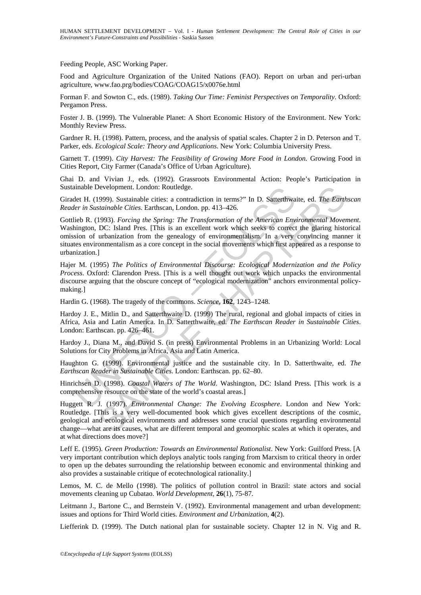Feeding People, ASC Working Paper.

Food and Agriculture Organization of the United Nations (FAO). Report on urban and peri-urban agriculture, www.fao.prg/bodies/COAG/COAG15/x0076e.html

Forman F. and Sowton C., eds. (1989). *Taking Our Time: Feminist Perspectives on Temporality*. Oxford: Pergamon Press.

Foster J. B. (1999). The Vulnerable Planet: A Short Economic History of the Environment. New York: Monthly Review Press.

Gardner R. H. (1998). Pattern, process, and the analysis of spatial scales. Chapter 2 in D. Peterson and T. Parker, eds. *Ecological Scale: Theory and Applications*. New York: Columbia University Press.

Garnett T. (1999). *City Harvest: The Feasibility of Growing More Food in London.* Growing Food in Cities Report, City Farmer (Canada's Office of Urban Agriculture).

Ghai D. and Vivian J., eds. (1992). Grassroots Environmental Action: People's Participation in Sustainable Development. London: Routledge.

Giradet H. (1999). Sustainable cities: a contradiction in terms?" In D. Satterthwaite, ed. *The Earthscan Reader in Sustainable Cities*. Earthscan, London. pp. 413–426.

anable Development. London: Routledge.<br>
elet H. (1999). Sustainable cities: a contradiction in terms?" In D. Satterthwa<br> *eler in Sustainable Cities.* Earthscan, London. pp. 413-426.<br>
lieb R. (1993). *Forcing the Spring: T* Development. London: Routledge.<br>
Sevelopment. London: Routledge.<br>
Statianable Cities. Earthscan, London. pp. 413-426.<br>
Statianable Cities. Earthscan, London. pp. 413-426.<br>
1993). *Forcing the Spring: The Transformation of* Gottlieb R. (1993). *Forcing the Spring: The Transformation of the American Environmental Movement*. Washington, DC: Island Pres. [This is an excellent work which seeks to correct the glaring historical omission of urbanization from the genealogy of environmentalism. In a very convincing manner it situates environmentalism as a core concept in the social movements which first appeared as a response to urbanization.]

Hajer M. (1995) *The Politics of Environmental Discourse: Ecological Modernization and the Policy Process*. Oxford: Clarendon Press. [This is a well thought out work which unpacks the environmental discourse arguing that the obscure concept of "ecological modernization" anchors environmental policymaking.]

Hardin G. (1968). The tragedy of the commons. *Science*, **162**, 1243–1248.

Hardoy J. E., Mitlin D., and Satterthwaite D. (1999) The rural, regional and global impacts of cities in Africa, Asia and Latin America. In D. Satterthwaite, ed. *The Earthscan Reader in Sustainable Cities*. London: Earthscan. pp. 426–461.

Hardoy J., Diana M., and David S. (in press) Environmental Problems in an Urbanizing World: Local Solutions for City Problems in Africa, Asia and Latin America.

Haughton G. (1999). Environmental justice and the sustainable city. In D. Satterthwaite, ed. *The Earthscan Reader in Sustainable Cities*. London: Earthscan. pp. 62–80.

Hinrichsen D. (1998). *Coastal Waters of The World*. Washington, DC: Island Press. [This work is a comprehensive resource on the state of the world's coastal areas.]

Huggett R. J. (1997). *Environmental Change: The Evolving Ecosphere*. London and New York: Routledge. [This is a very well-documented book which gives excellent descriptions of the cosmic, geological and ecological environments and addresses some crucial questions regarding environmental change—what are its causes, what are different temporal and geomorphic scales at which it operates, and at what directions does move?]

Leff E. (1995). *Green Production: Towards an Environmental Rationalist*. New York: Guilford Press. [A very important contribution which deploys analytic tools ranging from Marxism to critical theory in order to open up the debates surrounding the relationship between economic and environmental thinking and also provides a sustainable critique of ecotechnological rationality.]

Lemos, M. C. de Mello (1998). The politics of pollution control in Brazil: state actors and social movements cleaning up Cubatao. *World Development,* **26**(1), 75-87.

Leitmann J., Bartone C., and Bernstein V. (1992). Environmental management and urban development: issues and options for Third World cities. *Environment and Urbanization*, **4**(2).

Liefferink D. (1999). The Dutch national plan for sustainable society. Chapter 12 in N. Vig and R.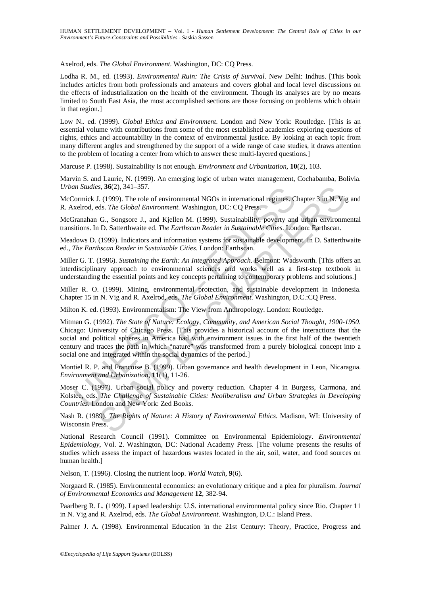Axelrod, eds. *The Global Environment*. Washington, DC: CQ Press.

Lodha R. M., ed. (1993). *Environmental Ruin: The Crisis of Survival*. New Delhi: Indhus. [This book includes articles from both professionals and amateurs and covers global and local level discussions on the effects of industrialization on the health of the environment. Though its analyses are by no means limited to South East Asia, the most accomplished sections are those focusing on problems which obtain in that region.]

Low N.. ed. (1999). *Global Ethics and Environment*. London and New York: Routledge. [This is an essential volume with contributions from some of the most established academics exploring questions of rights, ethics and accountability in the context of environmental justice. By looking at each topic from many different angles and strengthened by the support of a wide range of case studies, it draws attention to the problem of locating a center from which to answer these multi-layered questions.]

Marcuse P. (1998). Sustainability is not enough. *Environment and Urbanization,* **10**(2), 103.

Marvin S. and Laurie, N. (1999). An emerging logic of urban water management, Cochabamba, Bolivia. *Urban Studies,* **36**(2), 341–357.

McCormick J. (1999). The role of environmental NGOs in international regimes. Chapter 3 in N. Vig and R. Axelrod, eds. *The Global Environment*. Washington, DC: CQ Press.

McGranahan G., Songsore J., and Kjellen M. (1999). Sustainability, poverty and urban environmental transitions. In D. Satterthwaite ed. *The Earthscan Reader in Sustainable Cities*. London: Earthscan.

Meadows D. (1999). Indicators and information systems for sustainable development. In D. Satterthwaite ed., *The Earthscan Reader in Sustainable Cities*. London: Earthscan.

Miller G. T. (1996). *Sustaining the Earth: An Integrated Approach*. Belmont: Wadsworth. [This offers an interdisciplinary approach to environmental sciences and works well as a first-step textbook in understanding the essential points and key concepts pertaining to contemporary problems and solutions.]

Miller R. O. (1999). Mining, environmental protection, and sustainable development in Indonesia. Chapter 15 in N. Vig and R. Axelrod, eds. *The Global Environment*. Washington, D.C.:CQ Press.

Milton K. ed. (1993). Environmentalism: The View from Anthropology. London: Routledge.

*m Studies, 36(2), 341-357.*<br>
cormick J. (1999). The role of environmental NGOs in international regimes. C<br>
xelved, eds. The Global Environment. Washington, DC: CQ Press.<br>
ranahan G., Songsore J., and Kjellen M. (1999). s, 36(2), 341–357.<br>
(1999). The role of environmental NGOs in international regimes. Chapter 3 in N. Vi<sub>1</sub><br>
(1999). The role of environment. Washington, DC: CQ Press.<br>
G., Songsore J., and Kjellen M. (1999). Sustainability Mitman G. (1992). *The State of Nature: Ecology, Community, and American Social Thought, 1900-1950*. Chicago: University of Chicago Press. [This provides a historical account of the interactions that the social and political spheres in America had with environment issues in the first half of the twentieth century and traces the path in which "nature" was transformed from a purely biological concept into a social one and integrated within the social dynamics of the period.]

Montiel R. P. and Francoise B. (1999). Urban governance and health development in Leon, Nicaragua. *Environment and Urbanization*, **11**(1), 11-26.

Moser C. (1997). Urban social policy and poverty reduction. Chapter 4 in Burgess, Carmona, and Kolstee, eds. *The Challenge of Sustainable Cities: Neoliberalism and Urban Strategies in Developing Countries*. London and New York: Zed Books.

Nash R. (1989). *The Rights of Nature: A History of Environmental Ethics*. Madison, WI: University of Wisconsin Press.

National Research Council (1991). Committee on Environmental Epidemiology. *Environmental Epidemiology*, Vol. 2. Washington, DC: National Academy Press. [The volume presents the results of studies which assess the impact of hazardous wastes located in the air, soil, water, and food sources on human health.]

Nelson, T. (1996). Closing the nutrient loop. *World Watch*, **9**(6).

Norgaard R. (1985). Environmental economics: an evolutionary critique and a plea for pluralism. *Journal of Environmental Economics and Management* **12**, 382-94.

Paarlberg R. L. (1999). Lapsed leadership: U.S. international environmental policy since Rio. Chapter 11 in N. Vig and R. Axelrod, eds. *The Global Environment*. Washington, D.C.: Island Press.

Palmer J. A. (1998). Environmental Education in the 21st Century: Theory, Practice, Progress and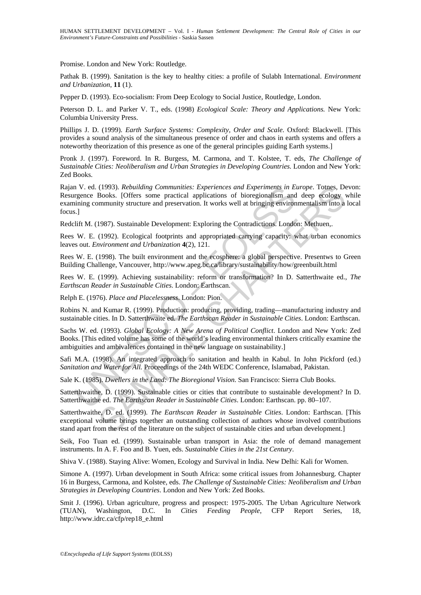Promise. London and New York: Routledge.

Pathak B. (1999). Sanitation is the key to healthy cities: a profile of Sulabh International. *Environment and Urbanization*, **11** (1).

Pepper D. (1993). Eco-socialism: From Deep Ecology to Social Justice, Routledge, London.

Peterson D. L. and Parker V. T., eds. (1998) *Ecological Scale: Theory and Applications.* New York: Columbia University Press.

Phillips J. D. (1999). *Earth Surface Systems: Complexity, Order and Scale*. Oxford: Blackwell. [This provides a sound analysis of the simultaneous presence of order and chaos in earth systems and offers a noteworthy theorization of this presence as one of the general principles guiding Earth systems.]

Pronk J. (1997). Foreword. In R. Burgess, M. Carmona, and T. Kolstee, T. eds, *The Challenge of Sustainable Cities: Neoliberalism and Urban Strategies in Developing Countries.* London and New York: Zed Books.

n V. ed. (1993). *Rebuilding Communities: Experiences and Experiments in Eigence Books.* [Offers some practical applications of bioregionalism and<br>ining community structure and preservation. It works well at bringing envir (1993). *Rebuilding Communities:* Experiences and Experiments in Europe. Tomes, De-<br>(Books. [Offers some practical applications of bioregionalism and deep ecology ynmunity structure and preservation. It works well at brin Rajan V. ed. (1993). *Rebuilding Communities: Experiences and Experiments in Europe*. Totnes, Devon: Resurgence Books. [Offers some practical applications of bioregionalism and deep ecology while examining community structure and preservation. It works well at bringing environmentalism into a local focus.]

Redclift M. (1987). Sustainable Development: Exploring the Contradictions. London: Methuen,.

Rees W. E. (1992). Ecological footprints and appropriated carrying capacity: what urban economics leaves out. *Environment and Urbanization* **4**(2), 121.

Rees W. E. (1998). The built environment and the ecosphere: a global perspective. Presentws to Green Building Challenge, Vancouver, http://www.apeg.bc.ca/library/sustainability/how/greenbuilt.html

Rees W. E. (1999). Achieving sustainability: reform or transformation? In D. Satterthwaite ed., *The Earthscan Reader in Sustainable Cities*. London: Earthscan.

Relph E. (1976). *Place and Placelessness*. London: Pion.

Robins N. and Kumar R. (1999). Production: producing, providing, trading—manufacturing industry and sustainable cities. In D. Satterthwaite ed. *The Earthscan Reader in Sustainable Cities*. London: Earthscan.

Sachs W. ed. (1993). *Global Ecology: A New Arena of Political Conflict*. London and New York: Zed Books. [This edited volume has some of the world's leading environmental thinkers critically examine the ambiguities and ambivalences contained in the new language on sustainability.]

Safi M.A. (1998). An integrated approach to sanitation and health in Kabul. In John Pickford (ed.) *Sanitation and Water for All.* Proceedings of the 24th WEDC Conference, Islamabad, Pakistan.

Sale K. (1985). *Dwellers in the Land: The Bioregional Vision*. San Francisco: Sierra Club Books.

Satterthwaithe, D. (1999). Sustainable cities or cities that contribute to sustainable development? In D. Satterthwaithe ed. *The Earthscan Reader in Sustainable Cities*. London: Earthscan. pp. 80–107.

Satterthwaithe, D. ed. (1999). *The Earthscan Reader in Sustainable Cities*. London: Earthscan. [This exceptional volume brings together an outstanding collection of authors whose involved contributions stand apart from the rest of the literature on the subject of sustainable cities and urban development.]

Seik, Foo Tuan ed. (1999). Sustainable urban transport in Asia: the role of demand management instruments. In A. F. Foo and B. Yuen, eds. *Sustainable Cities in the 21st Century*.

Shiva V. (1988). Staying Alive: Women, Ecology and Survival in India. New Delhi: Kali for Women.

Simone A. (1997). Urban development in South Africa: some critical issues from Johannesburg. Chapter 16 in Burgess, Carmona, and Kolstee, eds. *The Challenge of Sustainable Cities: Neoliberalism and Urban Strategies in Developing Countries*. London and New York: Zed Books.

Smit J. (1996). Urban agriculture, progress and prospect: 1975-2005. The Urban Agriculture Network (TUAN), Washington, D.C. In *Cities Feeding People*, CFP Report Series, 18, http://www.idrc.ca/cfp/rep18\_e.html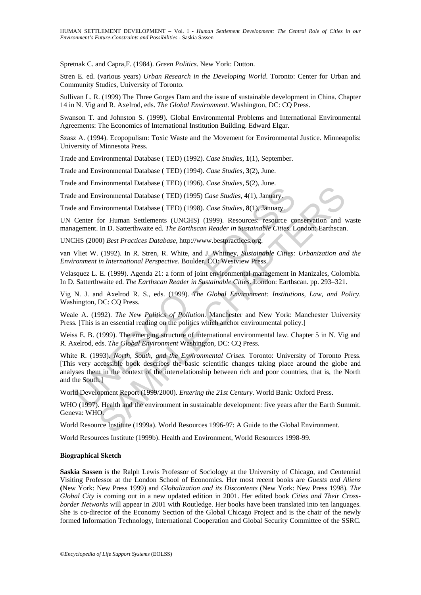Spretnak C. and Capra,F. (1984). *Green Politics*. New York: Dutton.

Stren E. ed. (various years) *Urban Research in the Developing World*. Toronto: Center for Urban and Community Studies, University of Toronto.

Sullivan L. R. (1999) The Three Gorges Dam and the issue of sustainable development in China. Chapter 14 in N. Vig and R. Axelrod, eds. *The Global Environment*. Washington, DC: CQ Press.

Swanson T. and Johnston S. (1999). Global Environmental Problems and International Environmental Agreements: The Economics of International Institution Building. Edward Elgar.

Szasz A. (1994). Ecopopulism: Toxic Waste and the Movement for Environmental Justice. Minneapolis: University of Minnesota Press.

Trade and Environmental Database ( TED) (1992). *Case Studies*, **1**(1), September.

Trade and Environmental Database ( TED) (1994). *Case Studies*, **3**(2), June.

Trade and Environmental Database ( TED) (1996). *Case Studies*, **5**(2), June.

Trade and Environmental Database ( TED) (1995) *Case Studies*, **4**(1), January.

Trade and Environmental Database ( TED) (1998). *Case Studies*, **8**(1), January.

UN Center for Human Settlements (UNCHS) (1999). Resources: resource conservation and waste management. In D. Satterthwaite ed. *The Earthscan Reader in Sustainable Cities.* London: Earthscan.

UNCHS (2000) *Best Practices Database*, http://www.bestpractices.org.

van Vliet W. (1992). In R. Stren, R. White, and J. Whitney, *Sustainable Cities: Urbanization and the Environment in International Perspective*. Boulder, CO: Westview Press.

Velasquez L. E. (1999). Agenda 21: a form of joint environmental management in Manizales, Colombia. In D. Satterthwaite ed. *The Earthscan Reader in Sustainable Cities*. London: Earthscan. pp. 293–321.

Vig N. J. and Axelrod R. S., eds. (1999). *The Global Environment: Institutions, Law, and Policy*. Washington, DC: CQ Press.

Weale A. (1992). *The New Politics of Pollution*. Manchester and New York: Manchester University Press. [This is an essential reading on the politics which anchor environmental policy.]

Weiss E. B. (1999). The emerging structure of international environmental law. Chapter 5 in N. Vig and R. Axelrod, eds. *The Global Environment* Washington, DC: CQ Press.

e and Environmental Database (TED) (1995) *Case Studies*, 4(1), January.<br>
e and Environmental Database (TED) (1995) *Case Studies*, 8(1), January.<br>
center for Human Settlements (UNCHS) (1999). *Case Studies*, 8(1), January Enternational Database (TED) (1995) Case Studies, 4(1), Jamary.<br>
wirommental Database (TED) (1995) Case Studies, 4(1), Jamary.<br>
wirommental Database (TED) (1995) Case Studies, 8(1), Jamary.<br>
for Human Settlements (UNCHS) White R. (1993). *North, South, and the Environmental Crises*. Toronto: University of Toronto Press. [This very accessible book describes the basic scientific changes taking place around the globe and analyses them in the context of the interrelationship between rich and poor countries, that is, the North and the South.]

World Development Report (1999/2000). *Entering the 21st Century*. World Bank: Oxford Press.

WHO (1997). Health and the environment in sustainable development: five years after the Earth Summit. Geneva: WHO.

World Resource Institute (1999a). World Resources 1996-97: A Guide to the Global Environment.

World Resources Institute (1999b). Health and Environment, World Resources 1998-99.

#### **Biographical Sketch**

**Saskia Sassen** is the Ralph Lewis Professor of Sociology at the University of Chicago, and Centennial Visiting Professor at the London School of Economics. Her most recent books are *Guests and Aliens* **(**New York: New Press 1999) and *Globalization and its Discontents* (New York: New Press 1998). *The Global City* is coming out in a new updated edition in 2001. Her edited book *Cities and Their Crossborder Networks* will appear in 2001 with Routledge. Her books have been translated into ten languages. She is co-director of the Economy Section of the Global Chicago Project and is the chair of the newly formed Information Technology, International Cooperation and Global Security Committee of the SSRC.